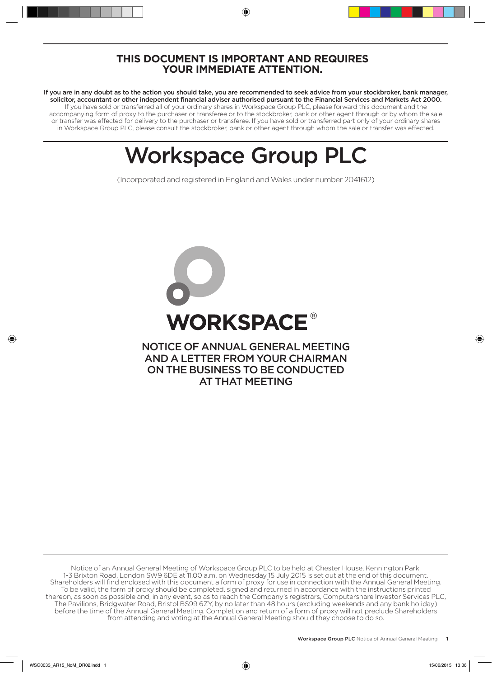## **THIS DOCUMENT IS IMPORTANT AND REQUIRES YOUR IMMEDIATE ATTENTION.**

If you are in any doubt as to the action you should take, you are recommended to seek advice from your stockbroker, bank manager, solicitor, accountant or other independent financial adviser authorised pursuant to the Financial Services and Markets Act 2000. If you have sold or transferred all of your ordinary shares in Workspace Group PLC, please forward this document and the accompanying form of proxy to the purchaser or transferee or to the stockbroker, bank or other agent through or by whom the sale or transfer was effected for delivery to the purchaser or transferee. If you have sold or transferred part only of your ordinary shares in Workspace Group PLC, please consult the stockbroker, bank or other agent through whom the sale or transfer was effected.

# Workspace Group PLC

(Incorporated and registered in England and Wales under number 2041612)



Notice of an Annual General Meeting of Workspace Group PLC to be held at Chester House, Kennington Park, 1-3 Brixton Road, London SW9 6DE at 11.00 a.m. on Wednesday 15 July 2015 is set out at the end of this document. Shareholders will find enclosed with this document a form of proxy for use in connection with the Annual General Meeting. To be valid, the form of proxy should be completed, signed and returned in accordance with the instructions printed thereon, as soon as possible and, in any event, so as to reach the Company's registrars, Computershare Investor Services PLC, The Pavilions, Bridgwater Road, Bristol BS99 6ZY, by no later than 48 hours (excluding weekends and any bank holiday) before the time of the Annual General Meeting. Completion and return of a form of proxy will not preclude Shareholders from attending and voting at the Annual General Meeting should they choose to do so.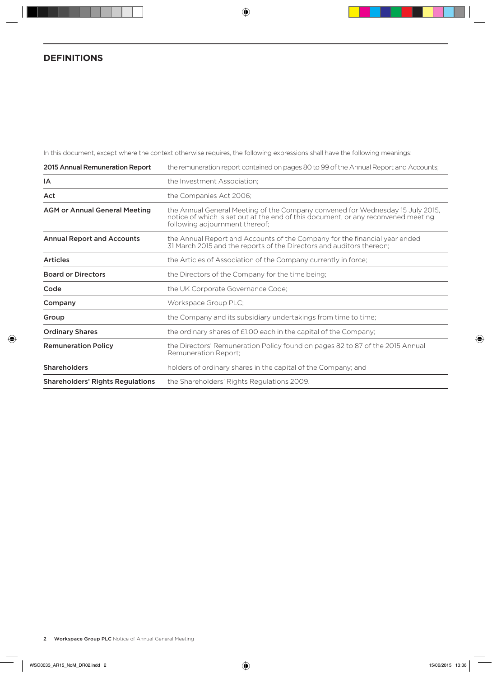## **DEFINITIONS**

In this document, except where the context otherwise requires, the following expressions shall have the following meanings:

| 2015 Annual Remuneration Report         | the remuneration report contained on pages 80 to 99 of the Annual Report and Accounts;                                                                                                                |
|-----------------------------------------|-------------------------------------------------------------------------------------------------------------------------------------------------------------------------------------------------------|
| IA                                      | the Investment Association;                                                                                                                                                                           |
| Act                                     | the Companies Act 2006;                                                                                                                                                                               |
| <b>AGM or Annual General Meeting</b>    | the Annual General Meeting of the Company convened for Wednesday 15 July 2015,<br>notice of which is set out at the end of this document, or any reconvened meeting<br>following adjournment thereof; |
| <b>Annual Report and Accounts</b>       | the Annual Report and Accounts of the Company for the financial year ended<br>31 March 2015 and the reports of the Directors and auditors thereon;                                                    |
| <b>Articles</b>                         | the Articles of Association of the Company currently in force;                                                                                                                                        |
| <b>Board or Directors</b>               | the Directors of the Company for the time being;                                                                                                                                                      |
| Code                                    | the UK Corporate Governance Code;                                                                                                                                                                     |
| Company                                 | Workspace Group PLC;                                                                                                                                                                                  |
| Group                                   | the Company and its subsidiary undertakings from time to time;                                                                                                                                        |
| <b>Ordinary Shares</b>                  | the ordinary shares of £1.00 each in the capital of the Company;                                                                                                                                      |
| <b>Remuneration Policy</b>              | the Directors' Remuneration Policy found on pages 82 to 87 of the 2015 Annual<br>Remuneration Report:                                                                                                 |
| <b>Shareholders</b>                     | holders of ordinary shares in the capital of the Company; and                                                                                                                                         |
| <b>Shareholders' Rights Regulations</b> | the Shareholders' Rights Regulations 2009.                                                                                                                                                            |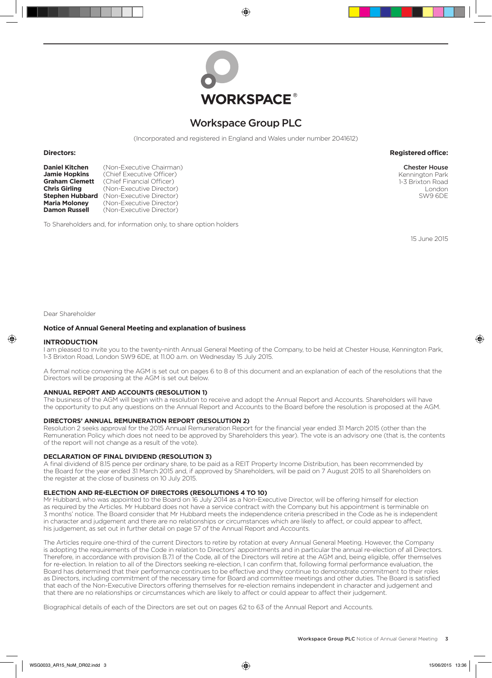

## Workspace Group PLC

(Incorporated and registered in England and Wales under number 2041612)

**Daniel Kitchen** (Non-Executive Chairman)<br>**Jamie Hopkins** (Chief Executive Officer) **Jamie Hopkins** (Chief Executive Officer)<br>**Graham Clemett** (Chief Financial Officer) **Graham Clemett** (Chief Financial Officer)<br> **Chris Girling** (Non-Executive Director **Chris Girling** (Non-Executive Director) **Stephen Hubbard** (Non-Executive Director)<br>**Maria Moloney** (Non-Executive Director) **Maria Moloney** (Non-Executive Director)<br>**Damon Russell** (Non-Executive Director) **Damon Russell** (Non-Executive Director)

To Shareholders and, for information only, to share option holders

15 June 2015

#### Dear Shareholder

#### **Notice of Annual General Meeting and explanation of business**

#### **INTRODUCTION**

I am pleased to invite you to the twenty-ninth Annual General Meeting of the Company, to be held at Chester House, Kennington Park, 1-3 Brixton Road, London SW9 6DE, at 11.00 a.m. on Wednesday 15 July 2015.

A formal notice convening the AGM is set out on pages 6 to 8 of this document and an explanation of each of the resolutions that the Directors will be proposing at the AGM is set out below.

#### **ANNUAL REPORT AND ACCOUNTS (RESOLUTION 1)**

The business of the AGM will begin with a resolution to receive and adopt the Annual Report and Accounts. Shareholders will have the opportunity to put any questions on the Annual Report and Accounts to the Board before the resolution is proposed at the AGM.

#### **DIRECTORS' ANNUAL REMUNERATION REPORT (RESOLUTION 2)**

Resolution 2 seeks approval for the 2015 Annual Remuneration Report for the financial year ended 31 March 2015 (other than the Remuneration Policy which does not need to be approved by Shareholders this year). The vote is an advisory one (that is, the contents of the report will not change as a result of the vote).

#### **DECLARATION OF FINAL DIVIDEND (RESOLUTION 3)**

A final dividend of 8.15 pence per ordinary share, to be paid as a REIT Property Income Distribution, has been recommended by the Board for the year ended 31 March 2015 and, if approved by Shareholders, will be paid on 7 August 2015 to all Shareholders on the register at the close of business on 10 July 2015.

#### **ELECTION AND RE-ELECTION OF DIRECTORS (RESOLUTIONS 4 TO 10)**

Mr Hubbard, who was appointed to the Board on 16 July 2014 as a Non-Executive Director, will be offering himself for election as required by the Articles. Mr Hubbard does not have a service contract with the Company but his appointment is terminable on 3 months' notice. The Board consider that Mr Hubbard meets the independence criteria prescribed in the Code as he is independent in character and judgement and there are no relationships or circumstances which are likely to affect, or could appear to affect, his judgement, as set out in further detail on page 57 of the Annual Report and Accounts.

The Articles require one-third of the current Directors to retire by rotation at every Annual General Meeting. However, the Company is adopting the requirements of the Code in relation to Directors' appointments and in particular the annual re-election of all Directors. Therefore, in accordance with provision B.7.1 of the Code, all of the Directors will retire at the AGM and, being eligible, offer themselves for re-election. In relation to all of the Directors seeking re-election, I can confirm that, following formal performance evaluation, the Board has determined that their performance continues to be effective and they continue to demonstrate commitment to their roles as Directors, including commitment of the necessary time for Board and committee meetings and other duties. The Board is satisfied that each of the Non-Executive Directors offering themselves for re-election remains independent in character and judgement and that there are no relationships or circumstances which are likely to affect or could appear to affect their judgement.

Biographical details of each of the Directors are set out on pages 62 to 63 of the Annual Report and Accounts.

#### **Directors: Registered office:**

Chester House Kennington Park 1-3 Brixton Road London SW9 6DE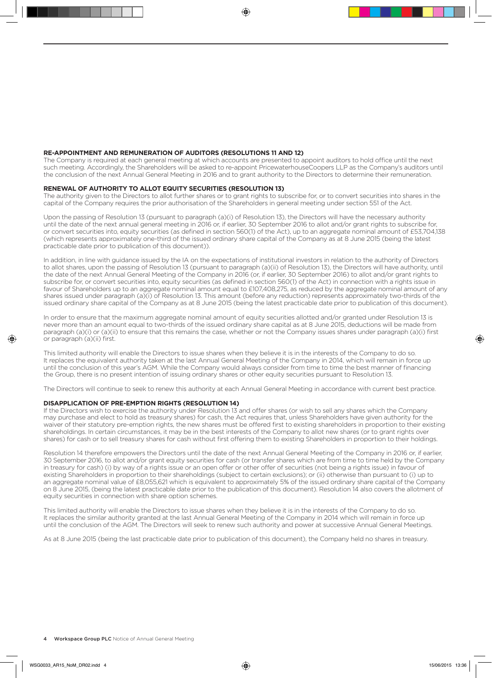#### **RE-APPOINTMENT AND REMUNERATION OF AUDITORS (RESOLUTIONS 11 AND 12)**

The Company is required at each general meeting at which accounts are presented to appoint auditors to hold office until the next such meeting. Accordingly, the Shareholders will be asked to re-appoint PricewaterhouseCoopers LLP as the Company's auditors until the conclusion of the next Annual General Meeting in 2016 and to grant authority to the Directors to determine their remuneration.

#### **RENEWAL OF AUTHORITY TO ALLOT EQUITY SECURITIES (RESOLUTION 13)**

The authority given to the Directors to allot further shares or to grant rights to subscribe for, or to convert securities into shares in the capital of the Company requires the prior authorisation of the Shareholders in general meeting under section 551 of the Act.

Upon the passing of Resolution 13 (pursuant to paragraph (a)(i) of Resolution 13), the Directors will have the necessary authority until the date of the next annual general meeting in 2016 or, if earlier, 30 September 2016 to allot and/or grant rights to subscribe for, or convert securities into, equity securities (as defined in section 560(1) of the Act), up to an aggregate nominal amount of £53,704,138 (which represents approximately one-third of the issued ordinary share capital of the Company as at 8 June 2015 (being the latest practicable date prior to publication of this document)).

In addition, in line with guidance issued by the IA on the expectations of institutional investors in relation to the authority of Directors to allot shares, upon the passing of Resolution 13 (pursuant to paragraph (a)(ii) of Resolution 13), the Directors will have authority, until the date of the next Annual General Meeting of the Company in 2016 (or, if earlier, 30 September 2016) to allot and/or grant rights to subscribe for, or convert securities into, equity securities (as defined in section 560(1) of the Act) in connection with a rights issue in favour of Shareholders up to an aggregate nominal amount equal to £107,408,275, as reduced by the aggregate nominal amount of any shares issued under paragraph (a)(i) of Resolution 13. This amount (before any reduction) represents approximately two-thirds of the issued ordinary share capital of the Company as at 8 June 2015 (being the latest practicable date prior to publication of this document).

In order to ensure that the maximum aggregate nominal amount of equity securities allotted and/or granted under Resolution 13 is never more than an amount equal to two-thirds of the issued ordinary share capital as at 8 June 2015, deductions will be made from paragraph (a)(i) or (a)(ii) to ensure that this remains the case, whether or not the Company issues shares under paragraph (a)(i) first or paragraph (a)(ii) first.

This limited authority will enable the Directors to issue shares when they believe it is in the interests of the Company to do so. It replaces the equivalent authority taken at the last Annual General Meeting of the Company in 2014, which will remain in force up until the conclusion of this year's AGM. While the Company would always consider from time to time the best manner of financing the Group, there is no present intention of issuing ordinary shares or other equity securities pursuant to Resolution 13.

The Directors will continue to seek to renew this authority at each Annual General Meeting in accordance with current best practice.

#### **DISAPPLICATION OF PRE-EMPTION RIGHTS (RESOLUTION 14)**

If the Directors wish to exercise the authority under Resolution 13 and offer shares (or wish to sell any shares which the Company may purchase and elect to hold as treasury shares) for cash, the Act requires that, unless Shareholders have given authority for the waiver of their statutory pre-emption rights, the new shares must be offered first to existing shareholders in proportion to their existing shareholdings. In certain circumstances, it may be in the best interests of the Company to allot new shares (or to grant rights over shares) for cash or to sell treasury shares for cash without first offering them to existing Shareholders in proportion to their holdings.

Resolution 14 therefore empowers the Directors until the date of the next Annual General Meeting of the Company in 2016 or, if earlier, 30 September 2016, to allot and/or grant equity securities for cash (or transfer shares which are from time to time held by the Company in treasury for cash) (i) by way of a rights issue or an open offer or other offer of securities (not being a rights issue) in favour of existing Shareholders in proportion to their shareholdings (subject to certain exclusions); or (ii) otherwise than pursuant to (i) up to an aggregate nominal value of £8,055,621 which is equivalent to approximately 5% of the issued ordinary share capital of the Company on 8 June 2015, (being the latest practicable date prior to the publication of this document). Resolution 14 also covers the allotment of equity securities in connection with share option schemes.

This limited authority will enable the Directors to issue shares when they believe it is in the interests of the Company to do so. It replaces the similar authority granted at the last Annual General Meeting of the Company in 2014 which will remain in force up until the conclusion of the AGM. The Directors will seek to renew such authority and power at successive Annual General Meetings.

As at 8 June 2015 (being the last practicable date prior to publication of this document), the Company held no shares in treasury.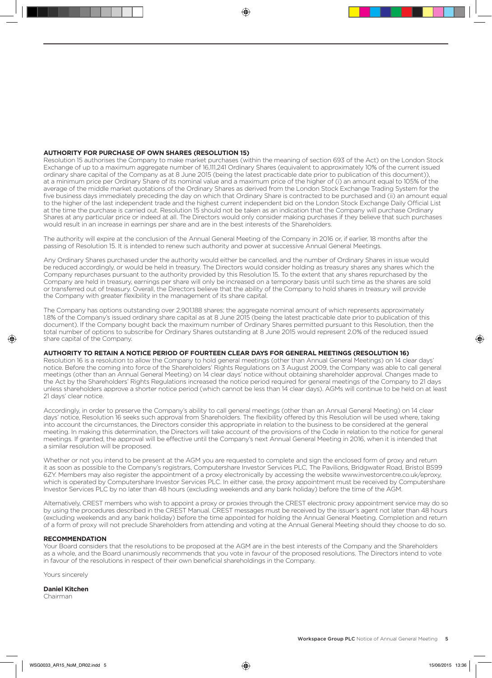#### **AUTHORITY FOR PURCHASE OF OWN SHARES (RESOLUTION 15)**

Resolution 15 authorises the Company to make market purchases (within the meaning of section 693 of the Act) on the London Stock Exchange of up to a maximum aggregate number of 16,111,241 Ordinary Shares (equivalent to approximately 10% of the current issued ordinary share capital of the Company as at 8 June 2015 (being the latest practicable date prior to publication of this document)), at a minimum price per Ordinary Share of its nominal value and a maximum price of the higher of (i) an amount equal to 105% of the average of the middle market quotations of the Ordinary Shares as derived from the London Stock Exchange Trading System for the five business days immediately preceding the day on which that Ordinary Share is contracted to be purchased and (ii) an amount equal to the higher of the last independent trade and the highest current independent bid on the London Stock Exchange Daily Official List at the time the purchase is carried out. Resolution 15 should not be taken as an indication that the Company will purchase Ordinary Shares at any particular price or indeed at all. The Directors would only consider making purchases if they believe that such purchases would result in an increase in earnings per share and are in the best interests of the Shareholders.

The authority will expire at the conclusion of the Annual General Meeting of the Company in 2016 or, if earlier, 18 months after the passing of Resolution 15. It is intended to renew such authority and power at successive Annual General Meetings.

Any Ordinary Shares purchased under the authority would either be cancelled, and the number of Ordinary Shares in issue would be reduced accordingly, or would be held in treasury. The Directors would consider holding as treasury shares any shares which the Company repurchases pursuant to the authority provided by this Resolution 15. To the extent that any shares repurchased by the Company are held in treasury, earnings per share will only be increased on a temporary basis until such time as the shares are sold or transferred out of treasury. Overall, the Directors believe that the ability of the Company to hold shares in treasury will provide the Company with greater flexibility in the management of its share capital.

The Company has options outstanding over 2,901,188 shares; the aggregate nominal amount of which represents approximately 1.8% of the Company's issued ordinary share capital as at 8 June 2015 (being the latest practicable date prior to publication of this document). If the Company bought back the maximum number of Ordinary Shares permitted pursuant to this Resolution, then the total number of options to subscribe for Ordinary Shares outstanding at 8 June 2015 would represent 2.0% of the reduced issued share capital of the Company.

#### **AUTHORITY TO RETAIN A NOTICE PERIOD OF FOURTEEN CLEAR DAYS FOR GENERAL MEETINGS (RESOLUTION 16)**

Resolution 16 is a resolution to allow the Company to hold general meetings (other than Annual General Meetings) on 14 clear days' notice. Before the coming into force of the Shareholders' Rights Regulations on 3 August 2009, the Company was able to call general meetings (other than an Annual General Meeting) on 14 clear days' notice without obtaining shareholder approval. Changes made to the Act by the Shareholders' Rights Regulations increased the notice period required for general meetings of the Company to 21 days unless shareholders approve a shorter notice period (which cannot be less than 14 clear days). AGMs will continue to be held on at least 21 days' clear notice.

Accordingly, in order to preserve the Company's ability to call general meetings (other than an Annual General Meeting) on 14 clear days' notice, Resolution 16 seeks such approval from Shareholders. The flexibility offered by this Resolution will be used where, taking into account the circumstances, the Directors consider this appropriate in relation to the business to be considered at the general meeting. In making this determination, the Directors will take account of the provisions of the Code in relation to the notice for general meetings. If granted, the approval will be effective until the Company's next Annual General Meeting in 2016, when it is intended that a similar resolution will be proposed.

Whether or not you intend to be present at the AGM you are requested to complete and sign the enclosed form of proxy and return it as soon as possible to the Company's registrars, Computershare Investor Services PLC, The Pavilions, Bridgwater Road, Bristol BS99 6ZY. Members may also register the appointment of a proxy electronically by accessing the website www.investorcentre.co.uk/eproxy, which is operated by Computershare Investor Services PLC. In either case, the proxy appointment must be received by Computershare Investor Services PLC by no later than 48 hours (excluding weekends and any bank holiday) before the time of the AGM.

Alternatively, CREST members who wish to appoint a proxy or proxies through the CREST electronic proxy appointment service may do so by using the procedures described in the CREST Manual. CREST messages must be received by the issuer's agent not later than 48 hours (excluding weekends and any bank holiday) before the time appointed for holding the Annual General Meeting. Completion and return of a form of proxy will not preclude Shareholders from attending and voting at the Annual General Meeting should they choose to do so.

#### **RECOMMENDATION**

Your Board considers that the resolutions to be proposed at the AGM are in the best interests of the Company and the Shareholders as a whole, and the Board unanimously recommends that you vote in favour of the proposed resolutions. The Directors intend to vote in favour of the resolutions in respect of their own beneficial shareholdings in the Company.

Yours sincerely

**Daniel Kitchen**

Chairman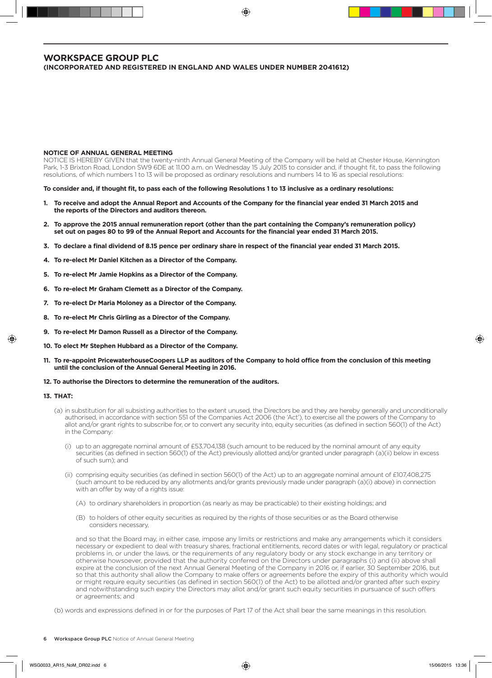### **WORKSPACE GROUP PLC (INCORPORATED AND REGISTERED IN ENGLAND AND WALES UNDER NUMBER 2041612)**

#### **NOTICE OF ANNUAL GENERAL MEETING**

NOTICE IS HEREBY GIVEN that the twenty-ninth Annual General Meeting of the Company will be held at Chester House, Kennington Park, 1-3 Brixton Road, London SW9 6DE at 11.00 a.m. on Wednesday 15 July 2015 to consider and, if thought fit, to pass the following resolutions, of which numbers 1 to 13 will be proposed as ordinary resolutions and numbers 14 to 16 as special resolutions:

**To consider and, if thought fit, to pass each of the following Resolutions 1 to 13 inclusive as a ordinary resolutions:**

- **1. To receive and adopt the Annual Report and Accounts of the Company for the financial year ended 31 March 2015 and the reports of the Directors and auditors thereon.**
- **2. To approve the 2015 annual remuneration report (other than the part containing the Company's remuneration policy) set out on pages 80 to 99 of the Annual Report and Accounts for the financial year ended 31 March 2015.**
- **3. To declare a final dividend of 8.15 pence per ordinary share in respect of the financial year ended 31 March 2015.**
- **4. To re-elect Mr Daniel Kitchen as a Director of the Company.**
- **5. To re-elect Mr Jamie Hopkins as a Director of the Company.**
- **6. To re-elect Mr Graham Clemett as a Director of the Company.**
- **7. To re-elect Dr Maria Moloney as a Director of the Company.**
- **8. To re-elect Mr Chris Girling as a Director of the Company.**
- **9. To re-elect Mr Damon Russell as a Director of the Company.**
- **10. To elect Mr Stephen Hubbard as a Director of the Company.**
- **11. To re-appoint PricewaterhouseCoopers LLP as auditors of the Company to hold office from the conclusion of this meeting until the conclusion of the Annual General Meeting in 2016.**
- **12. To authorise the Directors to determine the remuneration of the auditors.**

#### **13. THAT:**

- (a) in substitution for all subsisting authorities to the extent unused, the Directors be and they are hereby generally and unconditionally authorised, in accordance with section 551 of the Companies Act 2006 (the 'Act'), to exercise all the powers of the Company to allot and/or grant rights to subscribe for, or to convert any security into, equity securities (as defined in section 560(1) of the Act) in the Company:
	- (i) up to an aggregate nominal amount of £53,704,138 (such amount to be reduced by the nominal amount of any equity securities (as defined in section 560(1) of the Act) previously allotted and/or granted under paragraph (a)(ii) below in excess of such sum); and
	- (ii) comprising equity securities (as defined in section 560(1) of the Act) up to an aggregate nominal amount of £107,408,275 (such amount to be reduced by any allotments and/or grants previously made under paragraph (a)(i) above) in connection with an offer by way of a rights issue:
		- (A) to ordinary shareholders in proportion (as nearly as may be practicable) to their existing holdings; and
		- (B) to holders of other equity securities as required by the rights of those securities or as the Board otherwise considers necessary,

 and so that the Board may, in either case, impose any limits or restrictions and make any arrangements which it considers necessary or expedient to deal with treasury shares, fractional entitlements, record dates or with legal, regulatory or practical problems in, or under the laws, or the requirements of any regulatory body or any stock exchange in any territory or otherwise howsoever, provided that the authority conferred on the Directors under paragraphs (i) and (ii) above shall expire at the conclusion of the next Annual General Meeting of the Company in 2016 or, if earlier, 30 September 2016, but so that this authority shall allow the Company to make offers or agreements before the expiry of this authority which would or might require equity securities (as defined in section 560(1) of the Act) to be allotted and/or granted after such expiry and notwithstanding such expiry the Directors may allot and/or grant such equity securities in pursuance of such offers or agreements; and

(b) words and expressions defined in or for the purposes of Part 17 of the Act shall bear the same meanings in this resolution.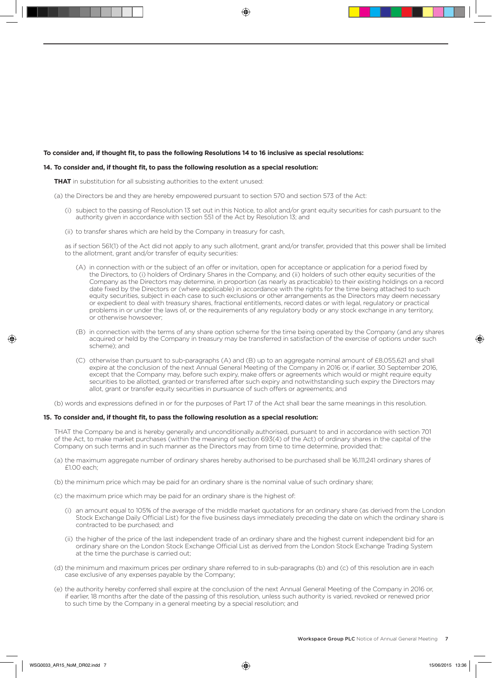#### **To consider and, if thought fit, to pass the following Resolutions 14 to 16 inclusive as special resolutions:**

#### **14. To consider and, if thought fit, to pass the following resolution as a special resolution:**

**THAT** in substitution for all subsisting authorities to the extent unused:

- (a) the Directors be and they are hereby empowered pursuant to section 570 and section 573 of the Act:
	- (i) subject to the passing of Resolution 13 set out in this Notice, to allot and/or grant equity securities for cash pursuant to the authority given in accordance with section 551 of the Act by Resolution 13; and
	- (ii) to transfer shares which are held by the Company in treasury for cash,

 as if section 561(1) of the Act did not apply to any such allotment, grant and/or transfer, provided that this power shall be limited to the allotment, grant and/or transfer of equity securities:

- (A) in connection with or the subject of an offer or invitation, open for acceptance or application for a period fixed by the Directors, to (i) holders of Ordinary Shares in the Company, and (ii) holders of such other equity securities of the Company as the Directors may determine, in proportion (as nearly as practicable) to their existing holdings on a record date fixed by the Directors or (where applicable) in accordance with the rights for the time being attached to such equity securities, subject in each case to such exclusions or other arrangements as the Directors may deem necessary or expedient to deal with treasury shares, fractional entitlements, record dates or with legal, regulatory or practical problems in or under the laws of, or the requirements of any regulatory body or any stock exchange in any territory, or otherwise howsoever;
- (B) in connection with the terms of any share option scheme for the time being operated by the Company (and any shares acquired or held by the Company in treasury may be transferred in satisfaction of the exercise of options under such scheme); and
- (C) otherwise than pursuant to sub-paragraphs (A) and (B) up to an aggregate nominal amount of £8,055,621 and shall expire at the conclusion of the next Annual General Meeting of the Company in 2016 or, if earlier, 30 September 2016, except that the Company may, before such expiry, make offers or agreements which would or might require equity securities to be allotted, granted or transferred after such expiry and notwithstanding such expiry the Directors may allot, grant or transfer equity securities in pursuance of such offers or agreements; and

(b) words and expressions defined in or for the purposes of Part 17 of the Act shall bear the same meanings in this resolution.

#### **15. To consider and, if thought fit, to pass the following resolution as a special resolution:**

THAT the Company be and is hereby generally and unconditionally authorised, pursuant to and in accordance with section 701 of the Act, to make market purchases (within the meaning of section 693(4) of the Act) of ordinary shares in the capital of the Company on such terms and in such manner as the Directors may from time to time determine, provided that:

- (a) the maximum aggregate number of ordinary shares hereby authorised to be purchased shall be 16,111,241 ordinary shares of £1.00 each;
- (b) the minimum price which may be paid for an ordinary share is the nominal value of such ordinary share;
- (c) the maximum price which may be paid for an ordinary share is the highest of:
	- (i) an amount equal to 105% of the average of the middle market quotations for an ordinary share (as derived from the London Stock Exchange Daily Official List) for the five business days immediately preceding the date on which the ordinary share is contracted to be purchased; and
	- (ii) the higher of the price of the last independent trade of an ordinary share and the highest current independent bid for an ordinary share on the London Stock Exchange Official List as derived from the London Stock Exchange Trading System at the time the purchase is carried out;
- (d) the minimum and maximum prices per ordinary share referred to in sub-paragraphs (b) and (c) of this resolution are in each case exclusive of any expenses payable by the Company;
- (e) the authority hereby conferred shall expire at the conclusion of the next Annual General Meeting of the Company in 2016 or, if earlier, 18 months after the date of the passing of this resolution, unless such authority is varied, revoked or renewed prior to such time by the Company in a general meeting by a special resolution; and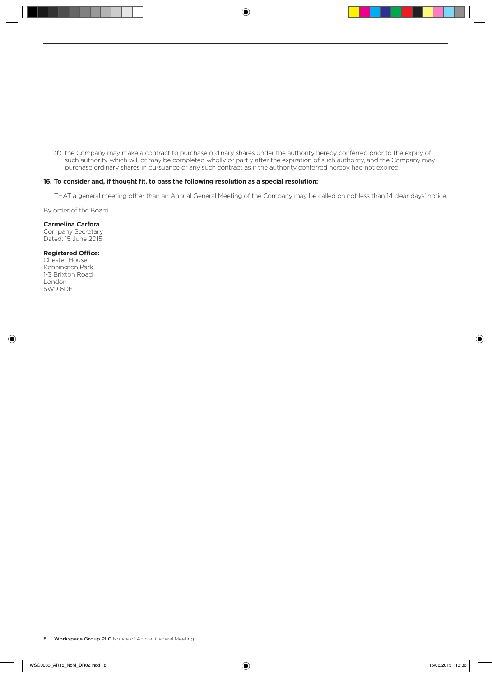(f) the Company may make a contract to purchase ordinary shares under the authority hereby conferred prior to the expiry of such authority which will or may be completed wholly or partly after the expiration of such authority, and the Company may purchase ordinary shares in pursuance of any such contract as if the authority conferred hereby had not expired.

#### **16. To consider and, if thought fit, to pass the following resolution as a special resolution:**

THAT a general meeting other than an Annual General Meeting of the Company may be called on not less than 14 clear days' notice.

By order of the Board

#### **Carmelina Carfora**

Company Secretary Dated: 15 June 2015

#### **Registered Office:**

Chester House Kennington Park 1-3 Brixton Road London SW9 6DE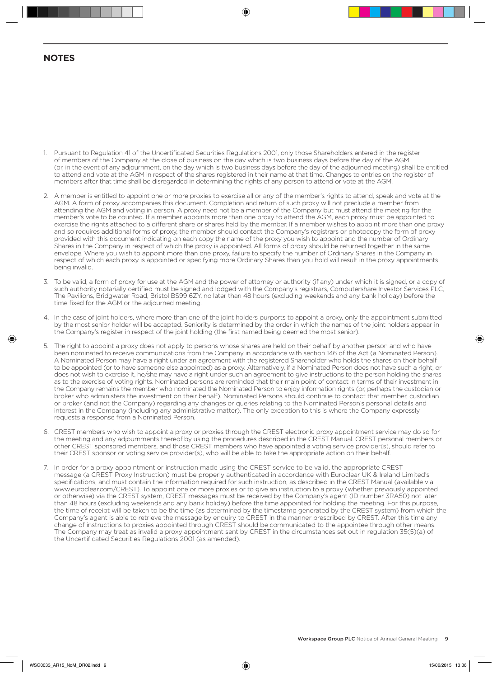## **NOTES**

- 1. Pursuant to Regulation 41 of the Uncertificated Securities Regulations 2001, only those Shareholders entered in the register of members of the Company at the close of business on the day which is two business days before the day of the AGM (or, in the event of any adjournment, on the day which is two business days before the day of the adjourned meeting) shall be entitled to attend and vote at the AGM in respect of the shares registered in their name at that time. Changes to entries on the register of members after that time shall be disregarded in determining the rights of any person to attend or vote at the AGM.
- 2. A member is entitled to appoint one or more proxies to exercise all or any of the member's rights to attend, speak and vote at the AGM. A form of proxy accompanies this document. Completion and return of such proxy will not preclude a member from attending the AGM and voting in person. A proxy need not be a member of the Company but must attend the meeting for the member's vote to be counted. If a member appoints more than one proxy to attend the AGM, each proxy must be appointed to exercise the rights attached to a different share or shares held by the member. If a member wishes to appoint more than one proxy and so requires additional forms of proxy, the member should contact the Company's registrars or photocopy the form of proxy provided with this document indicating on each copy the name of the proxy you wish to appoint and the number of Ordinary Shares in the Company in respect of which the proxy is appointed. All forms of proxy should be returned together in the same envelope. Where you wish to appoint more than one proxy, failure to specify the number of Ordinary Shares in the Company in respect of which each proxy is appointed or specifying more Ordinary Shares than you hold will result in the proxy appointments being invalid.
- 3. To be valid, a form of proxy for use at the AGM and the power of attorney or authority (if any) under which it is signed, or a copy of such authority notarially certified must be signed and lodged with the Company's registrars, Computershare Investor Services PLC, The Pavilions, Bridgwater Road, Bristol BS99 6ZY, no later than 48 hours (excluding weekends and any bank holiday) before the time fixed for the AGM or the adjourned meeting.
- 4. In the case of joint holders, where more than one of the joint holders purports to appoint a proxy, only the appointment submitted by the most senior holder will be accepted. Seniority is determined by the order in which the names of the joint holders appear in the Company's register in respect of the joint holding (the first named being deemed the most senior).
- 5. The right to appoint a proxy does not apply to persons whose shares are held on their behalf by another person and who have been nominated to receive communications from the Company in accordance with section 146 of the Act (a Nominated Person). A Nominated Person may have a right under an agreement with the registered Shareholder who holds the shares on their behalf to be appointed (or to have someone else appointed) as a proxy. Alternatively, if a Nominated Person does not have such a right, or does not wish to exercise it, he/she may have a right under such an agreement to give instructions to the person holding the shares as to the exercise of voting rights. Nominated persons are reminded that their main point of contact in terms of their investment in the Company remains the member who nominated the Nominated Person to enjoy information rights (or, perhaps the custodian or broker who administers the investment on their behalf). Nominated Persons should continue to contact that member, custodian or broker (and not the Company) regarding any changes or queries relating to the Nominated Person's personal details and interest in the Company (including any administrative matter). The only exception to this is where the Company expressly requests a response from a Nominated Person.
- 6. CREST members who wish to appoint a proxy or proxies through the CREST electronic proxy appointment service may do so for the meeting and any adjournments thereof by using the procedures described in the CREST Manual. CREST personal members or other CREST sponsored members, and those CREST members who have appointed a voting service provider(s), should refer to their CREST sponsor or voting service provider(s), who will be able to take the appropriate action on their behalf.
- 7. In order for a proxy appointment or instruction made using the CREST service to be valid, the appropriate CREST message (a CREST Proxy Instruction) must be properly authenticated in accordance with Euroclear UK & Ireland Limited's specifications, and must contain the information required for such instruction, as described in the CREST Manual (available via www.euroclear.com/CREST). To appoint one or more proxies or to give an instruction to a proxy (whether previously appointed or otherwise) via the CREST system, CREST messages must be received by the Company's agent (ID number 3RA50) not later than 48 hours (excluding weekends and any bank holiday) before the time appointed for holding the meeting. For this purpose, the time of receipt will be taken to be the time (as determined by the timestamp generated by the CREST system) from which the Company's agent is able to retrieve the message by enquiry to CREST in the manner prescribed by CREST. After this time any change of instructions to proxies appointed through CREST should be communicated to the appointee through other means. The Company may treat as invalid a proxy appointment sent by CREST in the circumstances set out in regulation 35(5)(a) of the Uncertificated Securities Regulations 2001 (as amended).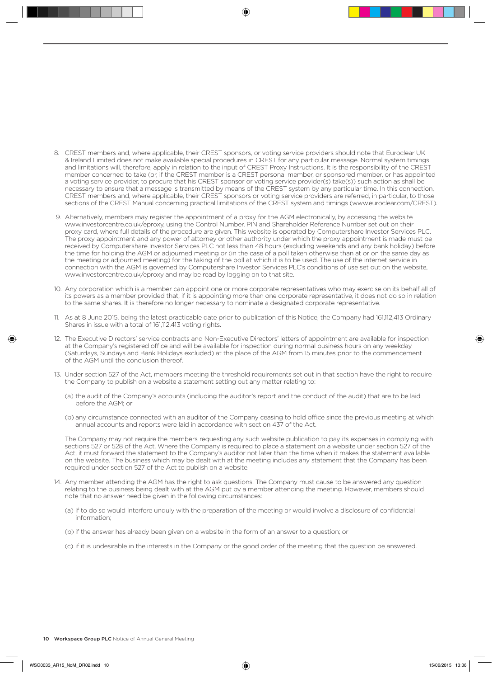- 8. CREST members and, where applicable, their CREST sponsors, or voting service providers should note that Euroclear UK & Ireland Limited does not make available special procedures in CREST for any particular message. Normal system timings and limitations will, therefore, apply in relation to the input of CREST Proxy Instructions. It is the responsibility of the CREST member concerned to take (or, if the CREST member is a CREST personal member, or sponsored member, or has appointed a voting service provider, to procure that his CREST sponsor or voting service provider(s) take(s)) such action as shall be necessary to ensure that a message is transmitted by means of the CREST system by any particular time. In this connection, CREST members and, where applicable, their CREST sponsors or voting service providers are referred, in particular, to those sections of the CREST Manual concerning practical limitations of the CREST system and timings (www.euroclear.com/CREST).
- 9. Alternatively, members may register the appointment of a proxy for the AGM electronically, by accessing the website www.investorcentre.co.uk/eproxy, using the Control Number, PIN and Shareholder Reference Number set out on their proxy card, where full details of the procedure are given. This website is operated by Computershare Investor Services PLC. The proxy appointment and any power of attorney or other authority under which the proxy appointment is made must be received by Computershare Investor Services PLC not less than 48 hours (excluding weekends and any bank holiday) before the time for holding the AGM or adjourned meeting or (in the case of a poll taken otherwise than at or on the same day as the meeting or adjourned meeting) for the taking of the poll at which it is to be used. The use of the internet service in connection with the AGM is governed by Computershare Investor Services PLC's conditions of use set out on the website, www.investorcentre.co.uk/eproxy and may be read by logging on to that site.
- 10. Any corporation which is a member can appoint one or more corporate representatives who may exercise on its behalf all of its powers as a member provided that, if it is appointing more than one corporate representative, it does not do so in relation to the same shares. It is therefore no longer necessary to nominate a designated corporate representative.
- 11. As at 8 June 2015, being the latest practicable date prior to publication of this Notice, the Company had 161,112,413 Ordinary Shares in issue with a total of 161,112,413 voting rights.
- 12. The Executive Directors' service contracts and Non-Executive Directors' letters of appointment are available for inspection at the Company's registered office and will be available for inspection during normal business hours on any weekday (Saturdays, Sundays and Bank Holidays excluded) at the place of the AGM from 15 minutes prior to the commencement of the AGM until the conclusion thereof.
- 13. Under section 527 of the Act, members meeting the threshold requirements set out in that section have the right to require the Company to publish on a website a statement setting out any matter relating to:
	- (a) the audit of the Company's accounts (including the auditor's report and the conduct of the audit) that are to be laid before the AGM; or
	- (b) any circumstance connected with an auditor of the Company ceasing to hold office since the previous meeting at which annual accounts and reports were laid in accordance with section 437 of the Act.

 The Company may not require the members requesting any such website publication to pay its expenses in complying with sections 527 or 528 of the Act. Where the Company is required to place a statement on a website under section 527 of the Act, it must forward the statement to the Company's auditor not later than the time when it makes the statement available on the website. The business which may be dealt with at the meeting includes any statement that the Company has been required under section 527 of the Act to publish on a website.

- 14. Any member attending the AGM has the right to ask questions. The Company must cause to be answered any question relating to the business being dealt with at the AGM put by a member attending the meeting. However, members should note that no answer need be given in the following circumstances:
	- (a) if to do so would interfere unduly with the preparation of the meeting or would involve a disclosure of confidential information;
	- (b) if the answer has already been given on a website in the form of an answer to a question; or
	- (c) if it is undesirable in the interests in the Company or the good order of the meeting that the question be answered.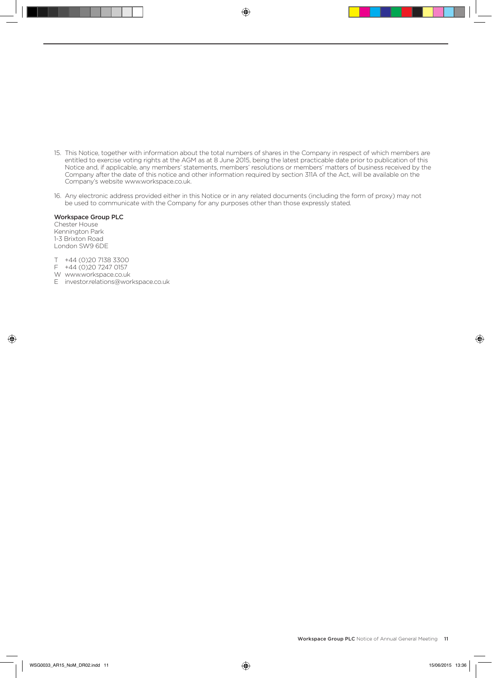- 15. This Notice, together with information about the total numbers of shares in the Company in respect of which members are entitled to exercise voting rights at the AGM as at 8 June 2015, being the latest practicable date prior to publication of this Notice and, if applicable, any members' statements, members' resolutions or members' matters of business received by the Company after the date of this notice and other information required by section 311A of the Act, will be available on the Company's website www.workspace.co.uk.
- 16. Any electronic address provided either in this Notice or in any related documents (including the form of proxy) may not be used to communicate with the Company for any purposes other than those expressly stated.

#### Workspace Group PLC

Chester House Kennington Park 1-3 Brixton Road London SW9 6DE

- T +44 (0)20 7138 3300
- F +44 (0)20 7247 0157
- W www.workspace.co.uk
- E investor.relations@workspace.co.uk